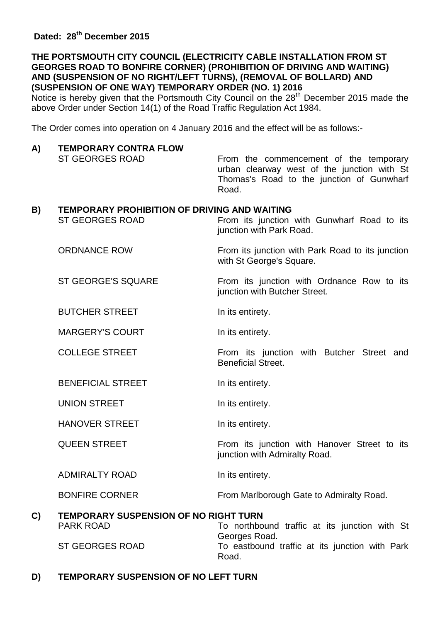### **THE PORTSMOUTH CITY COUNCIL (ELECTRICITY CABLE INSTALLATION FROM ST GEORGES ROAD TO BONFIRE CORNER) (PROHIBITION OF DRIVING AND WAITING) AND (SUSPENSION OF NO RIGHT/LEFT TURNS), (REMOVAL OF BOLLARD) AND (SUSPENSION OF ONE WAY) TEMPORARY ORDER (NO. 1) 2016**

Notice is hereby given that the Portsmouth City Council on the 28<sup>th</sup> December 2015 made the above Order under Section 14(1) of the Road Traffic Regulation Act 1984.

The Order comes into operation on 4 January 2016 and the effect will be as follows:-

## **A) TEMPORARY CONTRA FLOW**

ST GEORGES ROAD From the commencement of the temporary urban clearway west of the junction with St Thomas's Road to the junction of Gunwharf Road.

#### **B) TEMPORARY PROHIBITION OF DRIVING AND WAITING**

ST GEORGES ROAD From its junction with Gunwharf Road to its junction with Park Road. ORDNANCE ROW From its junction with Park Road to its junction with St George's Square. ST GEORGE'S SQUARE From its junction with Ordnance Row to its junction with Butcher Street. BUTCHER STREET **In its entirety**. MARGERY'S COURT **In its entirety**. COLLEGE STREET From its junction with Butcher Street and Beneficial Street. BENEFICIAL STREET **In its entirety**. UNION STREET **In its entirety**. HANOVER STREET later in its entirety. QUEEN STREET From its junction with Hanover Street to its junction with Admiralty Road. ADMIRALTY ROAD In its entirety. BONFIRE CORNER From Marlborough Gate to Admiralty Road. **C) TEMPORARY SUSPENSION OF NO RIGHT TURN** PARK ROAD To northbound traffic at its junction with St Georges Road. ST GEORGES ROAD To eastbound traffic at its junction with Park Road.

### **D) TEMPORARY SUSPENSION OF NO LEFT TURN**